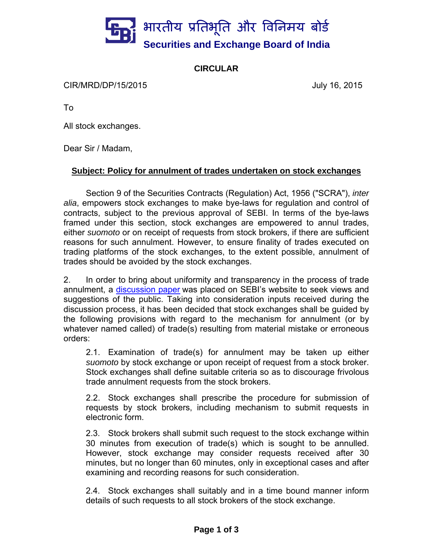

## **CIRCULAR**

CIR/MRD/DP/15/2015 July 16, 2015

To

All stock exchanges.

Dear Sir / Madam,

## **Subject: Policy for annulment of trades undertaken on stock exchanges**

Section 9 of the Securities Contracts (Regulation) Act, 1956 ("SCRA"), *inter alia*, empowers stock exchanges to make bye-laws for regulation and control of contracts, subject to the previous approval of SEBI. In terms of the bye-laws framed under this section, stock exchanges are empowered to annul trades, either *suomoto* or on receipt of requests from stock brokers, if there are sufficient reasons for such annulment. However, to ensure finality of trades executed on trading platforms of the stock exchanges, to the extent possible, annulment of trades should be avoided by the stock exchanges.

2. In order to bring about uniformity and transparency in the process of trade annulment, a discussion paper was placed on SEBI's website to seek views and suggestions of the public. Taking into consideration inputs received during the discussion process, it has been decided that stock exchanges shall be guided by the following provisions with regard to the mechanism for annulment (or by whatever named called) of trade(s) resulting from material mistake or erroneous orders:

2.1. Examination of trade(s) for annulment may be taken up either *suomoto* by stock exchange or upon receipt of request from a stock broker. Stock exchanges shall define suitable criteria so as to discourage frivolous trade annulment requests from the stock brokers.

2.2. Stock exchanges shall prescribe the procedure for submission of requests by stock brokers, including mechanism to submit requests in electronic form.

2.3. Stock brokers shall submit such request to the stock exchange within 30 minutes from execution of trade(s) which is sought to be annulled. However, stock exchange may consider requests received after 30 minutes, but no longer than 60 minutes, only in exceptional cases and after examining and recording reasons for such consideration.

2.4. Stock exchanges shall suitably and in a time bound manner inform details of such requests to all stock brokers of the stock exchange.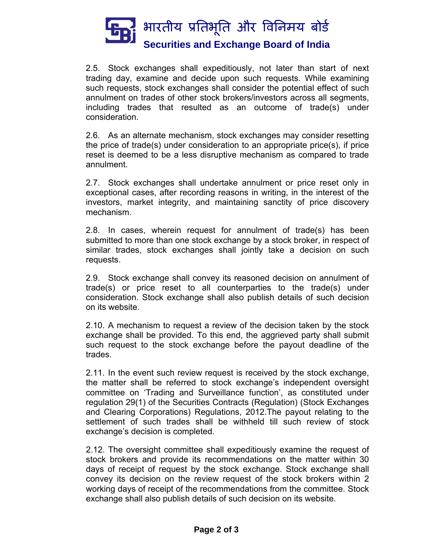

2.5. Stock exchanges shall expeditiously, not later than start of next trading day, examine and decide upon such requests. While examining such requests, stock exchanges shall consider the potential effect of such annulment on trades of other stock brokers/investors across all segments, including trades that resulted as an outcome of trade(s) under consideration.

2.6. As an alternate mechanism, stock exchanges may consider resetting the price of trade(s) under consideration to an appropriate price(s), if price reset is deemed to be a less disruptive mechanism as compared to trade annulment.

2.7. Stock exchanges shall undertake annulment or price reset only in exceptional cases, after recording reasons in writing, in the interest of the investors, market integrity, and maintaining sanctity of price discovery mechanism.

2.8. In cases, wherein request for annulment of trade(s) has been submitted to more than one stock exchange by a stock broker, in respect of similar trades, stock exchanges shall jointly take a decision on such requests.

2.9. Stock exchange shall convey its reasoned decision on annulment of trade(s) or price reset to all counterparties to the trade(s) under consideration. Stock exchange shall also publish details of such decision on its website.

2.10. A mechanism to request a review of the decision taken by the stock exchange shall be provided. To this end, the aggrieved party shall submit such request to the stock exchange before the payout deadline of the trades.

2.11. In the event such review request is received by the stock exchange, the matter shall be referred to stock exchange's independent oversight committee on 'Trading and Surveillance function', as constituted under regulation 29(1) of the Securities Contracts (Regulation) (Stock Exchanges and Clearing Corporations) Regulations, 2012.The payout relating to the settlement of such trades shall be withheld till such review of stock exchange's decision is completed.

2.12. The oversight committee shall expeditiously examine the request of stock brokers and provide its recommendations on the matter within 30 days of receipt of request by the stock exchange. Stock exchange shall convey its decision on the review request of the stock brokers within 2 working days of receipt of the recommendations from the committee. Stock exchange shall also publish details of such decision on its website.